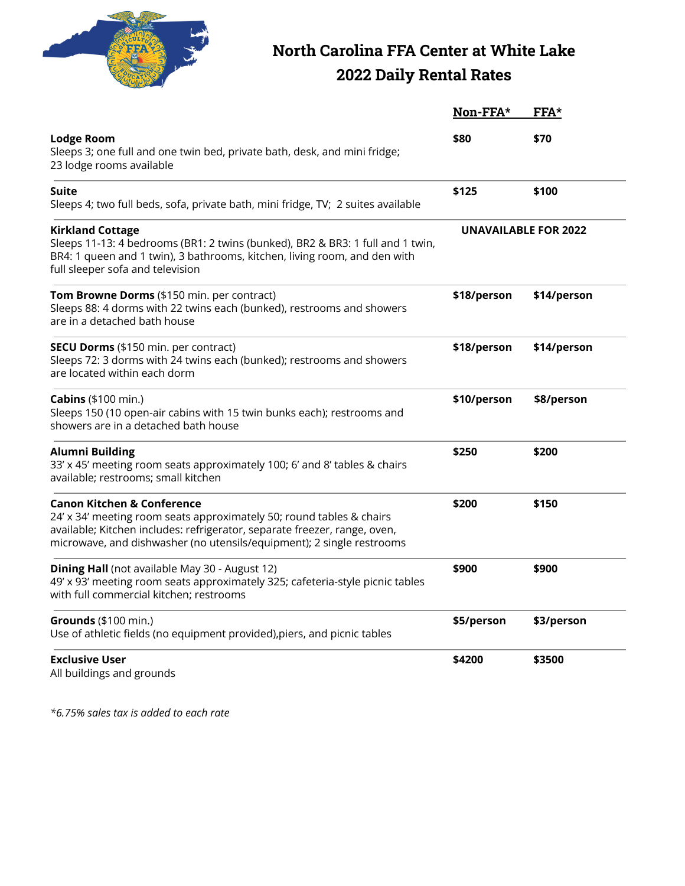

## **North Carolina FFA Center at White Lake 2022 Daily Rental Rates**

|                                                                                                                                                                                                                                                                     | Non-FFA*    | FFA*                        |
|---------------------------------------------------------------------------------------------------------------------------------------------------------------------------------------------------------------------------------------------------------------------|-------------|-----------------------------|
| <b>Lodge Room</b><br>Sleeps 3; one full and one twin bed, private bath, desk, and mini fridge;<br>23 lodge rooms available                                                                                                                                          | \$80        | \$70                        |
| Suite<br>Sleeps 4; two full beds, sofa, private bath, mini fridge, TV; 2 suites available                                                                                                                                                                           | \$125       | \$100                       |
| <b>Kirkland Cottage</b><br>Sleeps 11-13: 4 bedrooms (BR1: 2 twins (bunked), BR2 & BR3: 1 full and 1 twin,<br>BR4: 1 queen and 1 twin), 3 bathrooms, kitchen, living room, and den with<br>full sleeper sofa and television                                          |             | <b>UNAVAILABLE FOR 2022</b> |
| Tom Browne Dorms (\$150 min. per contract)<br>Sleeps 88: 4 dorms with 22 twins each (bunked), restrooms and showers<br>are in a detached bath house                                                                                                                 | \$18/person | \$14/person                 |
| SECU Dorms (\$150 min. per contract)<br>Sleeps 72: 3 dorms with 24 twins each (bunked); restrooms and showers<br>are located within each dorm                                                                                                                       | \$18/person | \$14/person                 |
| <b>Cabins</b> (\$100 min.)<br>Sleeps 150 (10 open-air cabins with 15 twin bunks each); restrooms and<br>showers are in a detached bath house                                                                                                                        | \$10/person | \$8/person                  |
| <b>Alumni Building</b><br>33' x 45' meeting room seats approximately 100; 6' and 8' tables & chairs<br>available; restrooms; small kitchen                                                                                                                          | \$250       | \$200                       |
| <b>Canon Kitchen &amp; Conference</b><br>24' x 34' meeting room seats approximately 50; round tables & chairs<br>available; Kitchen includes: refrigerator, separate freezer, range, oven,<br>microwave, and dishwasher (no utensils/equipment); 2 single restrooms | \$200       | \$150                       |
| Dining Hall (not available May 30 - August 12)<br>49' x 93' meeting room seats approximately 325; cafeteria-style picnic tables<br>with full commercial kitchen; restrooms                                                                                          | \$900       | \$900                       |
| Grounds (\$100 min.)<br>Use of athletic fields (no equipment provided), piers, and picnic tables                                                                                                                                                                    | \$5/person  | \$3/person                  |
| <b>Exclusive User</b><br>All buildings and grounds                                                                                                                                                                                                                  | \$4200      | \$3500                      |

*\*6.75% sales tax is added to each rate*